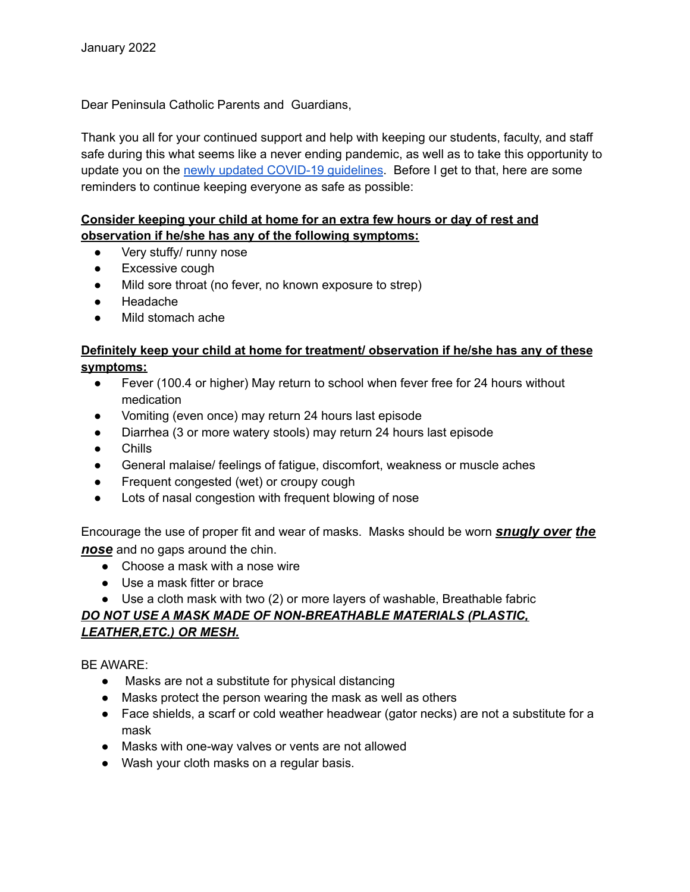Dear Peninsula Catholic Parents and Guardians,

Thank you all for your continued support and help with keeping our students, faculty, and staff safe during this what seems like a never ending pandemic, as well as to take this opportunity to update you on the newly updated [COVID-19](https://www.vdh.virginia.gov/content/uploads/sites/182/2020/04/Home-IsolationQuarantine-Release-Graphic_FINAL.pdf) guidelines. Before I get to that, here are some reminders to continue keeping everyone as safe as possible:

#### **Consider keeping your child at home for an extra few hours or day of rest and observation if he/she has any of the following symptoms:**

- Very stuffy/ runny nose
- Excessive cough
- Mild sore throat (no fever, no known exposure to strep)
- Headache
- Mild stomach ache

#### **Definitely keep your child at home for treatment/ observation if he/she has any of these symptoms:**

- Fever (100.4 or higher) May return to school when fever free for 24 hours without medication
- Vomiting (even once) may return 24 hours last episode
- Diarrhea (3 or more watery stools) may return 24 hours last episode
- Chills
- General malaise/ feelings of fatigue, discomfort, weakness or muscle aches
- Frequent congested (wet) or croupy cough
- Lots of nasal congestion with frequent blowing of nose

Encourage the use of proper fit and wear of masks. Masks should be worn *snugly over the nose* and no gaps around the chin.

- Choose a mask with a nose wire
- Use a mask fitter or brace
- Use a cloth mask with two (2) or more layers of washable, Breathable fabric

### *DO NOT USE A MASK MADE OF NON-BREATHABLE MATERIALS (PLASTIC, LEATHER,ETC.) OR MESH.*

#### BE AWARE:

- Masks are not a substitute for physical distancing
- Masks protect the person wearing the mask as well as others
- Face shields, a scarf or cold weather headwear (gator necks) are not a substitute for a mask
- Masks with one-way valves or vents are not allowed
- Wash your cloth masks on a regular basis.